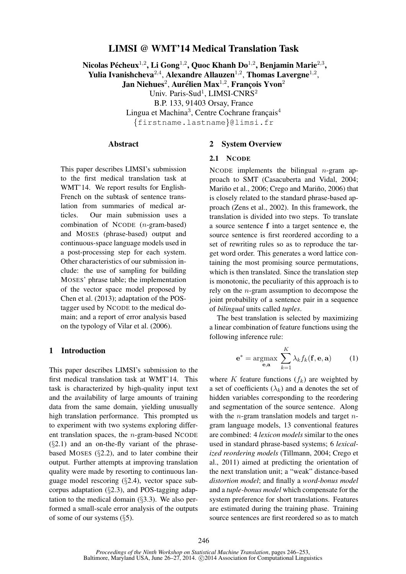# LIMSI @ WMT'14 Medical Translation Task

Nicolas Pécheux $^{1,2}$ , Li Gong $^{1,2}$ , Quoc Khanh Do $^{1,2}$ , Benjamin Marie $^{2,3}$ , Yulia Ivanishcheva $^{2,4}$ , Alexandre Allauzen $^{1,2}$ , Thomas Lavergne $^{1,2}$ , Jan Niehues $^2$ , Aurélien Max $^{1,2}$ , François Yvon $^2$ Univ. Paris-Sud<sup>1</sup>, LIMSI-CNRS<sup>2</sup> B.P. 133, 91403 Orsay, France Lingua et Machina<sup>3</sup>, Centre Cochrane français<sup>4</sup> {firstname.lastname}@limsi.fr

#### Abstract

This paper describes LIMSI's submission to the first medical translation task at WMT'14. We report results for English-French on the subtask of sentence translation from summaries of medical articles. Our main submission uses a combination of NCODE (n-gram-based) and MOSES (phrase-based) output and continuous-space language models used in a post-processing step for each system. Other characteristics of our submission include: the use of sampling for building MOSES' phrase table; the implementation of the vector space model proposed by Chen et al. (2013); adaptation of the POStagger used by NCODE to the medical domain; and a report of error analysis based on the typology of Vilar et al. (2006).

# 1 Introduction

This paper describes LIMSI's submission to the first medical translation task at WMT'14. This task is characterized by high-quality input text and the availability of large amounts of training data from the same domain, yielding unusually high translation performance. This prompted us to experiment with two systems exploring different translation spaces, the  $n$ -gram-based NCODE  $(\S2.1)$  and an on-the-fly variant of the phrasebased MOSES (§2.2), and to later combine their output. Further attempts at improving translation quality were made by resorting to continuous language model rescoring (§2.4), vector space subcorpus adaptation (§2.3), and POS-tagging adaptation to the medical domain  $(\S 3.3)$ . We also performed a small-scale error analysis of the outputs of some of our systems (§5).

### 2 System Overview

#### 2.1 NCODE

NCODE implements the bilingual  $n$ -gram approach to SMT (Casacuberta and Vidal, 2004; Mariño et al., 2006; Crego and Mariño, 2006) that is closely related to the standard phrase-based approach (Zens et al., 2002). In this framework, the translation is divided into two steps. To translate a source sentence f into a target sentence e, the source sentence is first reordered according to a set of rewriting rules so as to reproduce the target word order. This generates a word lattice containing the most promising source permutations, which is then translated. Since the translation step is monotonic, the peculiarity of this approach is to rely on the n-gram assumption to decompose the joint probability of a sentence pair in a sequence of *bilingual* units called *tuples*.

The best translation is selected by maximizing a linear combination of feature functions using the following inference rule:

$$
\mathbf{e}^* = \underset{\mathbf{e}, \mathbf{a}}{\operatorname{argmax}} \sum_{k=1}^K \lambda_k f_k(\mathbf{f}, \mathbf{e}, \mathbf{a}) \qquad (1)
$$

where K feature functions  $(f_k)$  are weighted by a set of coefficients  $(\lambda_k)$  and a denotes the set of hidden variables corresponding to the reordering and segmentation of the source sentence. Along with the *n*-gram translation models and target *n*gram language models, 13 conventional features are combined: 4 *lexicon models* similar to the ones used in standard phrase-based systems; 6 *lexicalized reordering models* (Tillmann, 2004; Crego et al., 2011) aimed at predicting the orientation of the next translation unit; a "weak" distance-based *distortion model*; and finally a *word-bonus model* and a *tuple-bonus model* which compensate for the system preference for short translations. Features are estimated during the training phase. Training source sentences are first reordered so as to match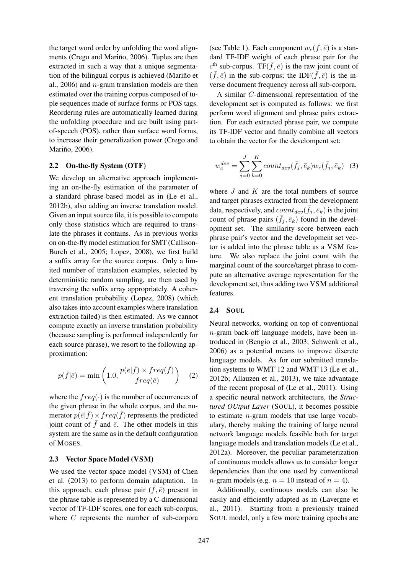the target word order by unfolding the word alignments (Crego and Mariño, 2006). Tuples are then extracted in such a way that a unique segmentation of the bilingual corpus is achieved (Mariño et al., 2006) and  $n$ -gram translation models are then estimated over the training corpus composed of tuple sequences made of surface forms or POS tags. Reordering rules are automatically learned during the unfolding procedure and are built using partof-speech (POS), rather than surface word forms, to increase their generalization power (Crego and Mariño, 2006).

### 2.2 On-the-fly System (OTF)

We develop an alternative approach implementing an on-the-fly estimation of the parameter of a standard phrase-based model as in (Le et al., 2012b), also adding an inverse translation model. Given an input source file, it is possible to compute only those statistics which are required to translate the phrases it contains. As in previous works on on-the-fly model estimation for SMT (Callison-Burch et al., 2005; Lopez, 2008), we first build a suffix array for the source corpus. Only a limited number of translation examples, selected by deterministic random sampling, are then used by traversing the suffix array appropriately. A coherent translation probability (Lopez, 2008) (which also takes into account examples where translation extraction failed) is then estimated. As we cannot compute exactly an inverse translation probability (because sampling is performed independently for each source phrase), we resort to the following approximation:

$$
p(\bar{f}|\bar{e}) = \min\left(1.0, \frac{p(\bar{e}|\bar{f}) \times freq(\bar{f})}{freq(\bar{e})}\right) \quad (2)
$$

where the  $freq(\cdot)$  is the number of occurrences of the given phrase in the whole corpus, and the numerator  $p(\bar{e}|\bar{f}) \times freq(\bar{f})$  represents the predicted joint count of  $\bar{f}$  and  $\bar{e}$ . The other models in this system are the same as in the default configuration of MOSES.

### 2.3 Vector Space Model (VSM)

We used the vector space model (VSM) of Chen et al. (2013) to perform domain adaptation. In this approach, each phrase pair  $(f, \bar{e})$  present in the phrase table is represented by a C-dimensional vector of TF-IDF scores, one for each sub-corpus, where C represents the number of sub-corpora

(see Table 1). Each component  $w_c(\bar{f}, \bar{e})$  is a standard TF-IDF weight of each phrase pair for the  $c^{\text{th}}$  sub-corpus. TF( $\bar{f}$ ,  $\bar{e}$ ) is the raw joint count of  $(\bar{f}, \bar{e})$  in the sub-corpus; the IDF $(\bar{\bar{f}}, \bar{e})$  is the inverse document frequency across all sub-corpora.

A similar C-dimensional representation of the development set is computed as follows: we first perform word alignment and phrase pairs extraction. For each extracted phrase pair, we compute its TF-IDF vector and finally combine all vectors to obtain the vector for the develompent set:

$$
w_c^{dev} = \sum_{j=0}^{J} \sum_{k=0}^{K} count_{dev}(\bar{f}_j, \bar{e}_k) w_c(\bar{f}_j, \bar{e}_k) \quad (3)
$$

where  $J$  and  $K$  are the total numbers of source and target phrases extracted from the development data, respectively, and  $count_{dev}(\bar{f}_j, \bar{e}_k)$  is the joint count of phrase pairs  $(\bar{f}_j, \bar{e}_k)$  found in the development set. The similarity score between each phrase pair's vector and the development set vector is added into the phrase table as a VSM feature. We also replace the joint count with the marginal count of the source/target phrase to compute an alternative average representation for the development set, thus adding two VSM additional features.

#### 2.4 SOUL

Neural networks, working on top of conventional  $n$ -gram back-off language models, have been introduced in (Bengio et al., 2003; Schwenk et al., 2006) as a potential means to improve discrete language models. As for our submitted translation systems to WMT'12 and WMT'13 (Le et al., 2012b; Allauzen et al., 2013), we take advantage of the recent proposal of (Le et al., 2011). Using a specific neural network architecture, the *Structured OUtput Layer* (SOUL), it becomes possible to estimate  $n$ -gram models that use large vocabulary, thereby making the training of large neural network language models feasible both for target language models and translation models (Le et al., 2012a). Moreover, the peculiar parameterization of continuous models allows us to consider longer dependencies than the one used by conventional *n*-gram models (e.g.  $n = 10$  instead of  $n = 4$ ).

Additionally, continuous models can also be easily and efficiently adapted as in (Lavergne et al., 2011). Starting from a previously trained SOUL model, only a few more training epochs are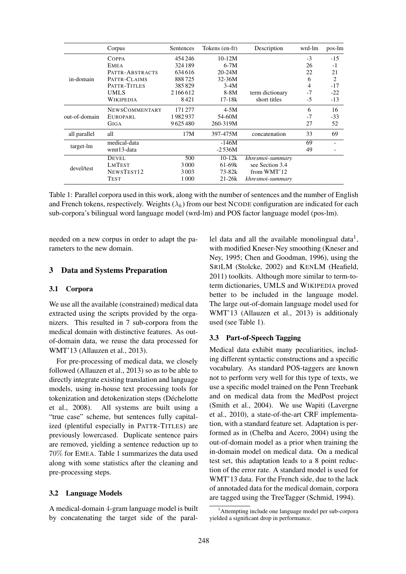|               | Corpus                | Sentences | Tokens (en-fr) | Description      | wrd-lm | pos-lm         |
|---------------|-----------------------|-----------|----------------|------------------|--------|----------------|
|               | COPPA                 | 454 246   | $10-12M$       |                  | $-3$   | $-15$          |
|               | <b>EMEA</b>           | 324 189   | $6-7M$         |                  | 26     | -1             |
|               | PATTR-ABSTRACTS       | 634616    | $20 - 24M$     |                  | 22     | 21             |
| in-domain     | PATTR-CLAIMS          | 888725    | 32-36M         |                  | 6      | $\overline{c}$ |
|               | PATTR-TITLES          | 385829    | $3-4M$         |                  | 4      | $-17$          |
|               | <b>UMLS</b>           | 2166612   | 8-8M           | term dictionary  | -7     | $-22$          |
|               | WIKIPEDIA             | 8421      | $17-18k$       | short titles     | $-5$   | $-13$          |
|               | <b>NEWSCOMMENTARY</b> | 171277    | $4-5M$         |                  | 6      | 16             |
| out-of-domain | EUROPARL              | 1982937   | 54-60M         |                  | $-7$   | $-33$          |
|               | GIGA                  | 9625480   | 260-319M       |                  | 27     | 52             |
| all parallel  | all                   | 17M       | 397-475M       | concatenation    | 33     | 69             |
|               | medical-data          |           | -146M          |                  | 69     |                |
| target-lm     | wmt13-data            |           | $-2.536M$      |                  | 49     |                |
| devel/test    | <b>DEVEL</b>          | 500       | $10-12k$       | khresmoi-summary |        |                |
|               | <b>LMTEST</b>         | 3000      | $61-69k$       | see Section 3.4  |        |                |
|               | NEWSTEST12            | 3003      | $73 - 82k$     | from WMT'12      |        |                |
|               | TEST                  | 1 000     | $21 - 26k$     | khresmoi-summary |        |                |

Table 1: Parallel corpora used in this work, along with the number of sentences and the number of English and French tokens, respectively. Weights  $(\lambda_k)$  from our best NCODE configuration are indicated for each sub-corpora's bilingual word language model (wrd-lm) and POS factor language model (pos-lm).

needed on a new corpus in order to adapt the parameters to the new domain.

### 3 Data and Systems Preparation

## 3.1 Corpora

We use all the available (constrained) medical data extracted using the scripts provided by the organizers. This resulted in 7 sub-corpora from the medical domain with distinctive features. As outof-domain data, we reuse the data processed for WMT'13 (Allauzen et al., 2013).

For pre-processing of medical data, we closely followed (Allauzen et al., 2013) so as to be able to directly integrate existing translation and language models, using in-house text processing tools for tokenization and detokenization steps (Déchelotte et al., 2008). All systems are built using a "true case" scheme, but sentences fully capitalized (plentiful especially in PATTR-TITLES) are previously lowercased. Duplicate sentence pairs are removed, yielding a sentence reduction up to 70% for EMEA. Table 1 summarizes the data used along with some statistics after the cleaning and pre-processing steps.

#### 3.2 Language Models

A medical-domain 4-gram language model is built by concatenating the target side of the paral-

lel data and all the available monolingual data<sup>1</sup>, with modified Kneser-Ney smoothing (Kneser and Ney, 1995; Chen and Goodman, 1996), using the SRILM (Stolcke, 2002) and KENLM (Heafield, 2011) toolkits. Although more similar to term-toterm dictionaries, UMLS and WIKIPEDIA proved better to be included in the language model. The large out-of-domain language model used for WMT'13 (Allauzen et al., 2013) is additionaly used (see Table 1).

#### 3.3 Part-of-Speech Tagging

Medical data exhibit many peculiarities, including different syntactic constructions and a specific vocabulary. As standard POS-taggers are known not to perform very well for this type of texts, we use a specific model trained on the Penn Treebank and on medical data from the MedPost project (Smith et al., 2004). We use Wapiti (Lavergne et al., 2010), a state-of-the-art CRF implementation, with a standard feature set. Adaptation is performed as in (Chelba and Acero, 2004) using the out-of-domain model as a prior when training the in-domain model on medical data. On a medical test set, this adaptation leads to a 8 point reduction of the error rate. A standard model is used for WMT'13 data. For the French side, due to the lack of annotaded data for the medical domain, corpora are tagged using the TreeTagger (Schmid, 1994).

<sup>&</sup>lt;sup>1</sup>Attempting include one language model per sub-corpora yielded a significant drop in performance.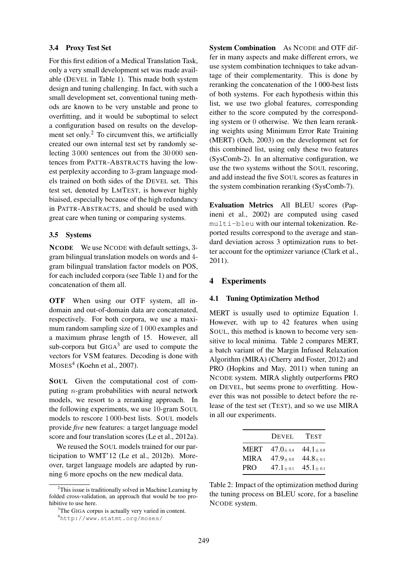## 3.4 Proxy Test Set

For this first edition of a Medical Translation Task, only a very small development set was made available (DEVEL in Table 1). This made both system design and tuning challenging. In fact, with such a small development set, conventional tuning methods are known to be very unstable and prone to overfitting, and it would be suboptimal to select a configuration based on results on the development set only.<sup>2</sup> To circumvent this, we artificially created our own internal test set by randomly selecting 3 000 sentences out from the 30 000 sentences from PATTR-ABSTRACTS having the lowest perplexity according to 3-gram language models trained on both sides of the DEVEL set. This test set, denoted by LMTEST, is however highly biaised, especially because of the high redundancy in PATTR-ABSTRACTS, and should be used with great care when tuning or comparing systems.

## 3.5 Systems

NCODE We use NCODE with default settings, 3 gram bilingual translation models on words and 4 gram bilingual translation factor models on POS, for each included corpora (see Table 1) and for the concatenation of them all.

OTF When using our OTF system, all indomain and out-of-domain data are concatenated, respectively. For both corpora, we use a maximum random sampling size of 1 000 examples and a maximum phrase length of 15. However, all sub-corpora but  $GIGA<sup>3</sup>$  are used to compute the vectors for VSM features. Decoding is done with  $Moses<sup>4</sup>$  (Koehn et al., 2007).

SOUL Given the computational cost of computing n-gram probabilities with neural network models, we resort to a reranking approach. In the following experiments, we use 10-gram SOUL models to rescore 1 000-best lists. SOUL models provide *five* new features: a target language model score and four translation scores (Le et al., 2012a).

We reused the SOUL models trained for our participation to WMT'12 (Le et al., 2012b). Moreover, target language models are adapted by running 6 more epochs on the new medical data.

System Combination As NCODE and OTF differ in many aspects and make different errors, we use system combination techniques to take advantage of their complementarity. This is done by reranking the concatenation of the 1 000-best lists of both systems. For each hypothesis within this list, we use two global features, corresponding either to the score computed by the corresponding system or 0 otherwise. We then learn reranking weights using Minimum Error Rate Training (MERT) (Och, 2003) on the development set for this combined list, using only these two features (SysComb-2). In an alternative configuration, we use the two systems without the SOUL rescoring, and add instead the five SOUL scores as features in the system combination reranking (SysComb-7).

Evaluation Metrics All BLEU scores (Papineni et al., 2002) are computed using cased multi-bleu with our internal tokenization. Reported results correspond to the average and standard deviation across 3 optimization runs to better account for the optimizer variance (Clark et al., 2011).

### 4 Experiments

#### 4.1 Tuning Optimization Method

MERT is usually used to optimize Equation 1. However, with up to 42 features when using SOUL, this method is known to become very sensitive to local minima. Table 2 compares MERT, a batch variant of the Margin Infused Relaxation Algorithm (MIRA) (Cherry and Foster, 2012) and PRO (Hopkins and May, 2011) when tuning an NCODE system. MIRA slightly outperforms PRO on DEVEL, but seems prone to overfitting. However this was not possible to detect before the release of the test set (TEST), and so we use MIRA in all our experiments.

|             | <b>DEVEL</b>  | <b>TEST</b>  |
|-------------|---------------|--------------|
| <b>MERT</b> | $47.0 + 0.4$  | $44.1 + 0.8$ |
| MIR A       | $47.9_{+0.0}$ | $44.8 + 0.1$ |
| <b>PRO</b>  | $47.1 + 0.1$  | $45.1 + 0.1$ |

Table 2: Impact of the optimization method during the tuning process on BLEU score, for a baseline NCODE system.

 $2$ This issue is traditionally solved in Machine Learning by folded cross-validation, an approach that would be too prohibitive to use here.

<sup>&</sup>lt;sup>3</sup>The GIGA corpus is actually very varied in content.

<sup>4</sup>http://www.statmt.org/moses/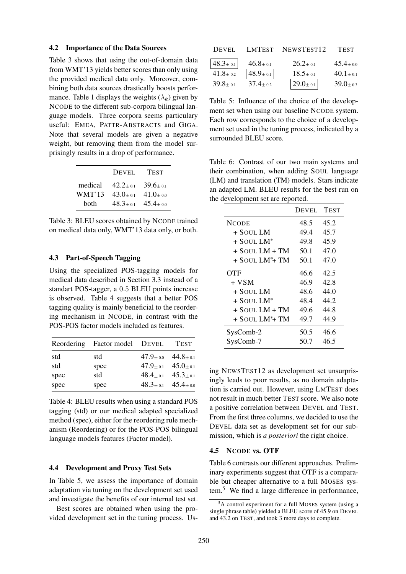#### 4.2 Importance of the Data Sources

Table 3 shows that using the out-of-domain data from WMT'13 yields better scores than only using the provided medical data only. Moreover, combining both data sources drastically boosts performance. Table 1 displays the weights  $(\lambda_k)$  given by NCODE to the different sub-corpora bilingual language models. Three corpora seems particulary useful: EMEA, PATTR-ABSTRACTS and GIGA. Note that several models are given a negative weight, but removing them from the model surprisingly results in a drop of performance.

|         | DEVEL        | <b>TEST</b>      |
|---------|--------------|------------------|
| medical | $42.2 + 0.1$ | $39.6 + 0.1$     |
| WMT'13  | $43.0 + 0.1$ | $41.0 + a$       |
| both    | $48.3 + 0.1$ | $45.4_{\pm 0.0}$ |

Table 3: BLEU scores obtained by NCODE trained on medical data only, WMT'13 data only, or both.

## 4.3 Part-of-Speech Tagging

Using the specialized POS-tagging models for medical data described in Section 3.3 instead of a standart POS-tagger, a 0.5 BLEU points increase is observed. Table 4 suggests that a better POS tagging quality is mainly beneficial to the reordering mechanism in NCODE, in contrast with the POS-POS factor models included as features.

|      | Reordering Factor model DEVEL |                                   | <b>TEST</b> |
|------|-------------------------------|-----------------------------------|-------------|
| std  | std                           | $47.9_{\pm 0.0}$ $44.8_{\pm 0.1}$ |             |
| std  | spec                          | $47.9_{\pm 0.1}$ $45.0_{\pm 0.1}$ |             |
| spec | std                           | $48.4_{\pm 0.1}$ $45.3_{\pm 0.1}$ |             |
| spec | spec                          | $48.3 \pm 0.1$ $45.4 \pm 0.0$     |             |

Table 4: BLEU results when using a standard POS tagging (std) or our medical adapted specialized method (spec), either for the reordering rule mechanism (Reordering) or for the POS-POS bilingual language models features (Factor model).

## 4.4 Development and Proxy Test Sets

In Table 5, we assess the importance of domain adaptation via tuning on the development set used and investigate the benefits of our internal test set.

Best scores are obtained when using the provided development set in the tuning process. Us-

| DEVEL.         | LMTEST                      | NEWSTEST <sub>12</sub>      | <b>TEST</b>      |
|----------------|-----------------------------|-----------------------------|------------------|
| $48.3 \pm 0.1$ | $46.8 + 0.1$                | $26.2 + 0.1$                | $45.4_{\pm 0.0}$ |
| $41.8 \pm 0.2$ | $48.9{\scriptstyle \pm0.1}$ | $18.5 + 0.1$                | $40.1 + 0.1$     |
| $39.8 + 0.1$   | $37.4 + 0.2$                | $29.0{\scriptstyle \pm0.1}$ | $39.0 + 0.3$     |

Table 5: Influence of the choice of the development set when using our baseline NCODE system. Each row corresponds to the choice of a development set used in the tuning process, indicated by a surrounded BLEU score.

Table 6: Contrast of our two main systems and their combination, when adding SOUL language (LM) and translation (TM) models. Stars indicate an adapted LM. BLEU results for the best run on the development set are reported.

|                               | DEVEL | <b>TEST</b> |
|-------------------------------|-------|-------------|
| <b>NCODE</b>                  | 48.5  | 45.2        |
| + Soul LM                     | 49.4  | 45.7        |
| + SOUL LM*                    | 49.8  | 45.9        |
| $+$ SOUL LM $+$ TM            | 50.1  | 47.0        |
| $+$ Soul LM <sup>*</sup> + TM | 50.1  | 47.0        |
| <b>OTF</b>                    | 46.6  | 42.5        |
| + VSM                         | 46.9  | 42.8        |
| + SOUL LM                     | 48.6  | 44.0        |
| $+$ Soul LM*                  | 48.4  | 44.2        |
| $+$ SOUL LM $+$ TM            | 49.6  | 44.8        |
| $+$ SOUL LM <sup>*</sup> + TM | 49.7  | 44.9        |
| SysComb-2                     | 50.5  | 46.6        |
| SysComb-7                     | 50.7  | 46.5        |

ing NEWSTEST12 as development set unsurprisingly leads to poor results, as no domain adaptation is carried out. However, using LMTEST does not result in much better TEST score. We also note a positive correlation between DEVEL and TEST. From the first three columns, we decided to use the DEVEL data set as development set for our submission, which is *a posteriori* the right choice.

### 4.5 NCODE vs. OTF

Table 6 contrasts our different approaches. Preliminary experiments suggest that OTF is a comparable but cheaper alternative to a full MOSES system.<sup>5</sup> We find a large difference in performance,

 ${}^{5}$ A control experiment for a full MOSES system (using a single phrase table) yielded a BLEU score of 45.9 on DEVEL and 43.2 on TEST, and took 3 more days to complete.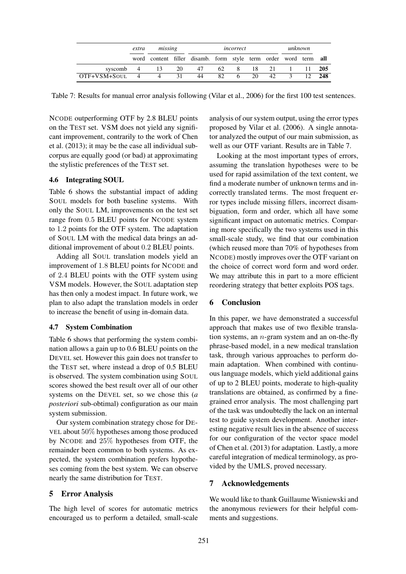|                               | missing<br>extra |  | incorrect |                                                                 |     |      | unknown |       |   |                  |        |
|-------------------------------|------------------|--|-----------|-----------------------------------------------------------------|-----|------|---------|-------|---|------------------|--------|
|                               |                  |  |           | word content filler disamb. form style term order word term all |     |      |         |       |   |                  |        |
| syscomb $4 \t 13 \t 20 \t 47$ |                  |  |           |                                                                 |     | 62 8 |         | 18 21 |   | $1 \t 11 \t 205$ |        |
| $OTF+VSM+SOUT$ 4              |                  |  |           | 44                                                              | 82. | 6.   | 20      | 42    | 3 |                  | 12 248 |

Table 7: Results for manual error analysis following (Vilar et al., 2006) for the first 100 test sentences.

NCODE outperforming OTF by 2.8 BLEU points on the TEST set. VSM does not yield any significant improvement, contrarily to the work of Chen et al. (2013); it may be the case all individual subcorpus are equally good (or bad) at approximating the stylistic preferences of the TEST set.

### 4.6 Integrating SOUL

Table 6 shows the substantial impact of adding SOUL models for both baseline systems. With only the SOUL LM, improvements on the test set range from 0.5 BLEU points for NCODE system to 1.2 points for the OTF system. The adaptation of SOUL LM with the medical data brings an additional improvement of about 0.2 BLEU points.

Adding all SOUL translation models yield an improvement of 1.8 BLEU points for NCODE and of 2.4 BLEU points with the OTF system using VSM models. However, the SOUL adaptation step has then only a modest impact. In future work, we plan to also adapt the translation models in order to increase the benefit of using in-domain data.

#### 4.7 System Combination

Table 6 shows that performing the system combination allows a gain up to 0.6 BLEU points on the DEVEL set. However this gain does not transfer to the TEST set, where instead a drop of 0.5 BLEU is observed. The system combination using SOUL scores showed the best result over all of our other systems on the DEVEL set, so we chose this (*a posteriori* sub-obtimal) configuration as our main system submission.

Our system combination strategy chose for DE-VEL about 50% hypotheses among those produced by NCODE and 25% hypotheses from OTF, the remainder been common to both systems. As expected, the system combination prefers hypotheses coming from the best system. We can observe nearly the same distribution for TEST.

### 5 Error Analysis

The high level of scores for automatic metrics encouraged us to perform a detailed, small-scale

analysis of our system output, using the error types proposed by Vilar et al. (2006). A single annotator analyzed the output of our main submission, as well as our OTF variant. Results are in Table 7.

Looking at the most important types of errors, assuming the translation hypotheses were to be used for rapid assimilation of the text content, we find a moderate number of unknown terms and incorrectly translated terms. The most frequent error types include missing fillers, incorrect disambiguation, form and order, which all have some significant impact on automatic metrics. Comparing more specifically the two systems used in this small-scale study, we find that our combination (which reused more than 70% of hypotheses from NCODE) mostly improves over the OTF variant on the choice of correct word form and word order. We may attribute this in part to a more efficient reordering strategy that better exploits POS tags.

# 6 Conclusion

In this paper, we have demonstrated a successful approach that makes use of two flexible translation systems, an  $n$ -gram system and an on-the-fly phrase-based model, in a new medical translation task, through various approaches to perform domain adaptation. When combined with continuous language models, which yield additional gains of up to 2 BLEU points, moderate to high-quality translations are obtained, as confirmed by a finegrained error analysis. The most challenging part of the task was undoubtedly the lack on an internal test to guide system development. Another interesting negative result lies in the absence of success for our configuration of the vector space model of Chen et al. (2013) for adaptation. Lastly, a more careful integration of medical terminology, as provided by the UMLS, proved necessary.

### 7 Acknowledgements

We would like to thank Guillaume Wisniewski and the anonymous reviewers for their helpful comments and suggestions.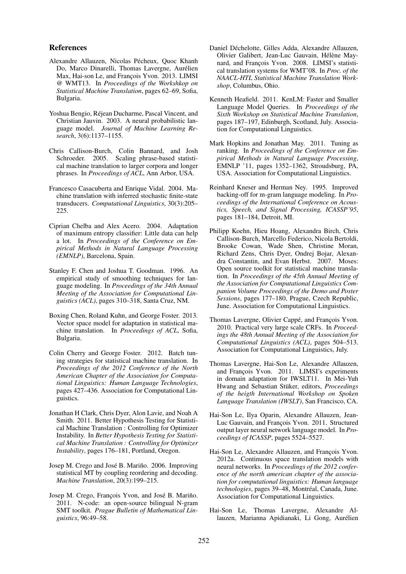#### References

- Alexandre Allauzen, Nicolas Pécheux, Quoc Khanh Do, Marco Dinarelli, Thomas Lavergne, Aurélien Max, Hai-son Le, and François Yvon. 2013. LIMSI @ WMT13. In *Proceedings of the Workshkop on Statistical Machine Translation*, pages 62–69, Sofia, Bulgaria.
- Yoshua Bengio, Rejean Ducharme, Pascal Vincent, and ´ Christian Jauvin. 2003. A neural probabilistic language model. *Journal of Machine Learning Research*, 3(6):1137–1155.
- Chris Callison-Burch, Colin Bannard, and Josh Schroeder. 2005. Scaling phrase-based statistical machine translation to larger corpora and longer phrases. In *Proceedings of ACL*, Ann Arbor, USA.
- Francesco Casacuberta and Enrique Vidal. 2004. Machine translation with inferred stochastic finite-state transducers. *Computational Linguistics*, 30(3):205– 225.
- Ciprian Chelba and Alex Acero. 2004. Adaptation of maximum entropy classifier: Little data can help a lot. In *Proceedings of the Conference on Empirical Methods in Natural Language Processing (EMNLP)*, Barcelona, Spain.
- Stanley F. Chen and Joshua T. Goodman. 1996. An empirical study of smoothing techniques for language modeling. In *Proceedings of the 34th Annual Meeting of the Association for Computational Linguistics (ACL)*, pages 310–318, Santa Cruz, NM.
- Boxing Chen, Roland Kuhn, and George Foster. 2013. Vector space model for adaptation in statistical machine translation. In *Proceedings of ACL*, Sofia, Bulgaria.
- Colin Cherry and George Foster. 2012. Batch tuning strategies for statistical machine translation. In *Proceedings of the 2012 Conference of the North American Chapter of the Association for Computational Linguistics: Human Language Technologies*, pages 427–436. Association for Computational Linguistics.
- Jonathan H Clark, Chris Dyer, Alon Lavie, and Noah A Smith. 2011. Better Hypothesis Testing for Statistical Machine Translation : Controlling for Optimizer Instability. In *Better Hypothesis Testing for Statistical Machine Translation : Controlling for Optimizer Instability*, pages 176–181, Portland, Oregon.
- Josep M. Crego and José B. Mariño. 2006. Improving statistical MT by coupling reordering and decoding. *Machine Translation*, 20(3):199–215.
- Josep M. Crego, François Yvon, and José B. Mariño. 2011. N-code: an open-source bilingual N-gram SMT toolkit. *Prague Bulletin of Mathematical Linguistics*, 96:49–58.
- Daniel Déchelotte, Gilles Adda, Alexandre Allauzen, Olivier Galibert, Jean-Luc Gauvain, Hélène Maynard, and François Yvon. 2008. LIMSI's statistical translation systems for WMT'08. In *Proc. of the NAACL-HTL Statistical Machine Translation Workshop*, Columbus, Ohio.
- Kenneth Heafield. 2011. KenLM: Faster and Smaller Language Model Queries. In *Proceedings of the Sixth Workshop on Statistical Machine Translation*, pages 187–197, Edinburgh, Scotland, July. Association for Computational Linguistics.
- Mark Hopkins and Jonathan May. 2011. Tuning as ranking. In *Proceedings of the Conference on Empirical Methods in Natural Language Processing*, EMNLP '11, pages 1352–1362, Stroudsburg, PA, USA. Association for Computational Linguistics.
- Reinhard Kneser and Herman Ney. 1995. Improved backing-off for m-gram language modeling. In *Proceedings of the International Conference on Acoustics, Speech, and Signal Processing, ICASSP'95*, pages 181–184, Detroit, MI.
- Philipp Koehn, Hieu Hoang, Alexandra Birch, Chris Callison-Burch, Marcello Federico, Nicola Bertoldi, Brooke Cowan, Wade Shen, Christine Moran, Richard Zens, Chris Dyer, Ondrej Bojar, Alexandra Constantin, and Evan Herbst. 2007. Moses: Open source toolkit for statistical machine translation. In *Proceedings of the 45th Annual Meeting of the Association for Computational Linguistics Companion Volume Proceedings of the Demo and Poster Sessions*, pages 177–180, Prague, Czech Republic, June. Association for Computational Linguistics.
- Thomas Lavergne, Olivier Cappé, and François Yvon. 2010. Practical very large scale CRFs. In *Proceedings the 48th Annual Meeting of the Association for Computational Linguistics (ACL)*, pages 504–513. Association for Computational Linguistics, July.
- Thomas Lavergne, Hai-Son Le, Alexandre Allauzen, and François Yvon. 2011. LIMSI's experiments in domain adaptation for IWSLT11. In Mei-Yuh Hwang and Sebastian Stüker, editors, *Proceedings of the heigth International Workshop on Spoken Language Translation (IWSLT)*, San Francisco, CA.
- Hai-Son Le, Ilya Oparin, Alexandre Allauzen, Jean-Luc Gauvain, and Francois Yvon. 2011. Structured output layer neural network language model. In *Proceedings of ICASSP*, pages 5524–5527.
- Hai-Son Le, Alexandre Allauzen, and François Yvon. 2012a. Continuous space translation models with neural networks. In *Proceedings of the 2012 conference of the north american chapter of the association for computational linguistics: Human language technologies*, pages 39–48, Montréal, Canada, June. Association for Computational Linguistics.
- Hai-Son Le, Thomas Lavergne, Alexandre Allauzen, Marianna Apidianaki, Li Gong, Aurélien